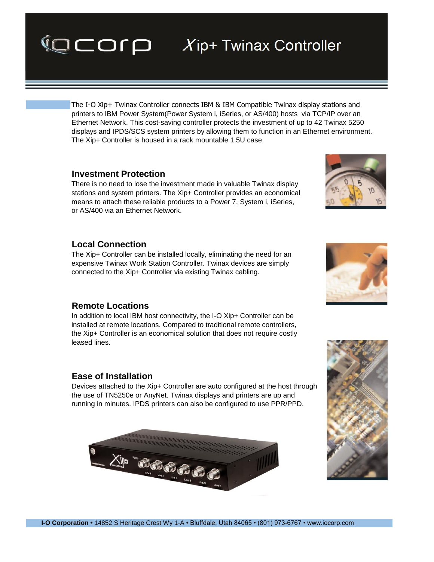## **Investment Protection**

There is no need to lose the investment made in valuable Twinax display stations and system printers. The Xip+ Controller provides an economical means to attach these reliable products to a Power 7, System i, iSeries, or AS/400 via an Ethernet Network.

The Xip+ Controller is housed in a rack mountable 1.5U case.

The I-O Xip+ Twinax Controller connects IBM & IBM Compatible Twinax display stations and printers to IBM Power System(Power System i, iSeries, or AS/400) hosts via TCP/IP over an Ethernet Network. This cost-saving controller protects the investment of up to 42 Twinax 5250 displays and IPDS/SCS system printers by allowing them to function in an Ethernet environment.

## **Local Connection**

The Xip+ Controller can be installed locally, eliminating the need for an expensive Twinax Work Station Controller. Twinax devices are simply connected to the Xip+ Controller via existing Twinax cabling.

## **Remote Locations**

In addition to local IBM host connectivity, the I-O Xip+ Controller can be installed at remote locations. Compared to traditional remote controllers, the Xip+ Controller is an economical solution that does not require costly leased lines.

## **Ease of Installation**

Devices attached to the Xip+ Controller are auto configured at the host through the use of TN5250e or AnyNet. Twinax displays and printers are up and running in minutes. IPDS printers can also be configured to use PPR/PPD.









# **VOCOID** *X*ip+ Twinax Controller